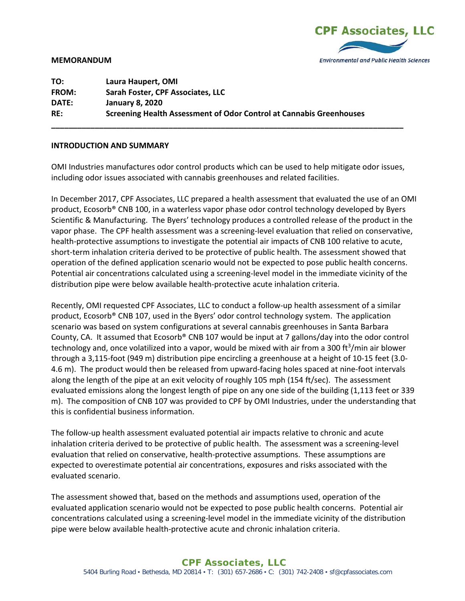

## **MEMORANDUM**

| TO:          | Laura Haupert, OMI                                                  |
|--------------|---------------------------------------------------------------------|
| <b>FROM:</b> | Sarah Foster, CPF Associates, LLC                                   |
| DATE:        | <b>January 8, 2020</b>                                              |
| RE:          | Screening Health Assessment of Odor Control at Cannabis Greenhouses |

## **INTRODUCTION AND SUMMARY**

OMI Industries manufactures odor control products which can be used to help mitigate odor issues, including odor issues associated with cannabis greenhouses and related facilities.

**\_\_\_\_\_\_\_\_\_\_\_\_\_\_\_\_\_\_\_\_\_\_\_\_\_\_\_\_\_\_\_\_\_\_\_\_\_\_\_\_\_\_\_\_\_\_\_\_\_\_\_\_\_\_\_\_\_\_\_\_\_\_\_\_\_\_\_\_\_\_\_\_\_\_\_\_\_\_\_\_\_**

In December 2017, CPF Associates, LLC prepared a health assessment that evaluated the use of an OMI product, Ecosorb® CNB 100, in a waterless vapor phase odor control technology developed by Byers Scientific & Manufacturing. The Byers' technology produces a controlled release of the product in the vapor phase. The CPF health assessment was a screening-level evaluation that relied on conservative, health-protective assumptions to investigate the potential air impacts of CNB 100 relative to acute, short-term inhalation criteria derived to be protective of public health. The assessment showed that operation of the defined application scenario would not be expected to pose public health concerns. Potential air concentrations calculated using a screening-level model in the immediate vicinity of the distribution pipe were below available health-protective acute inhalation criteria.

Recently, OMI requested CPF Associates, LLC to conduct a follow-up health assessment of a similar product, Ecosorb® CNB 107, used in the Byers' odor control technology system. The application scenario was based on system configurations at several cannabis greenhouses in Santa Barbara County, CA. It assumed that Ecosorb<sup>®</sup> CNB 107 would be input at 7 gallons/day into the odor control technology and, once volatilized into a vapor, would be mixed with air from a 300 ft<sup>3</sup>/min air blower through a 3,115-foot (949 m) distribution pipe encircling a greenhouse at a height of 10-15 feet (3.0- 4.6 m). The product would then be released from upward-facing holes spaced at nine-foot intervals along the length of the pipe at an exit velocity of roughly 105 mph (154 ft/sec). The assessment evaluated emissions along the longest length of pipe on any one side of the building (1,113 feet or 339 m). The composition of CNB 107 was provided to CPF by OMI Industries, under the understanding that this is confidential business information.

The follow-up health assessment evaluated potential air impacts relative to chronic and acute inhalation criteria derived to be protective of public health. The assessment was a screening-level evaluation that relied on conservative, health-protective assumptions. These assumptions are expected to overestimate potential air concentrations, exposures and risks associated with the evaluated scenario.

The assessment showed that, based on the methods and assumptions used, operation of the evaluated application scenario would not be expected to pose public health concerns. Potential air concentrations calculated using a screening-level model in the immediate vicinity of the distribution pipe were below available health-protective acute and chronic inhalation criteria.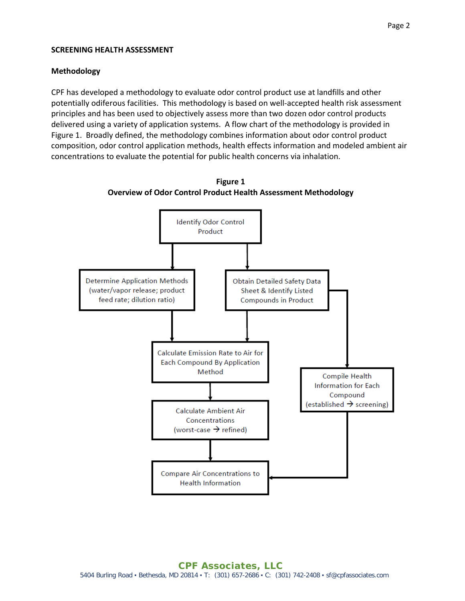## **SCREENING HEALTH ASSESSMENT**

## **Methodology**

CPF has developed a methodology to evaluate odor control product use at landfills and other potentially odiferous facilities. This methodology is based on well-accepted health risk assessment principles and has been used to objectively assess more than two dozen odor control products delivered using a variety of application systems. A flow chart of the methodology is provided in Figure 1. Broadly defined, the methodology combines information about odor control product composition, odor control application methods, health effects information and modeled ambient air concentrations to evaluate the potential for public health concerns via inhalation.



**Figure 1 Overview of Odor Control Product Health Assessment Methodology**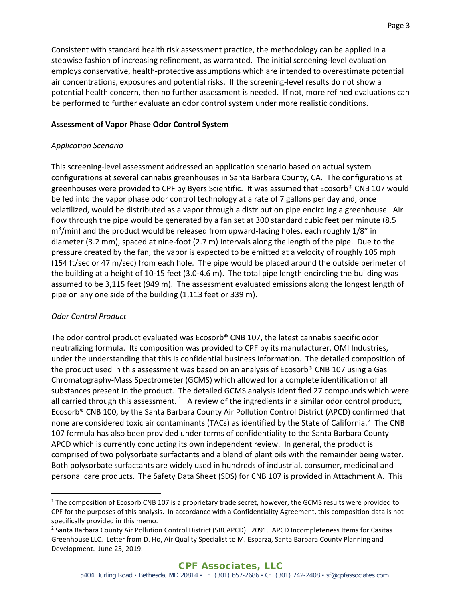# **Assessment of Vapor Phase Odor Control System**

# *Application Scenario*

This screening-level assessment addressed an application scenario based on actual system configurations at several cannabis greenhouses in Santa Barbara County, CA. The configurations at greenhouses were provided to CPF by Byers Scientific. It was assumed that Ecosorb® CNB 107 would be fed into the vapor phase odor control technology at a rate of 7 gallons per day and, once volatilized, would be distributed as a vapor through a distribution pipe encircling a greenhouse. Air flow through the pipe would be generated by a fan set at 300 standard cubic feet per minute (8.5 m<sup>3</sup>/min) and the product would be released from upward-facing holes, each roughly 1/8" in diameter (3.2 mm), spaced at nine-foot (2.7 m) intervals along the length of the pipe. Due to the pressure created by the fan, the vapor is expected to be emitted at a velocity of roughly 105 mph (154 ft/sec or 47 m/sec) from each hole. The pipe would be placed around the outside perimeter of the building at a height of 10-15 feet (3.0-4.6 m). The total pipe length encircling the building was assumed to be 3,115 feet (949 m). The assessment evaluated emissions along the longest length of pipe on any one side of the building (1,113 feet or 339 m).

# *Odor Control Product*

The odor control product evaluated was Ecosorb® CNB 107, the latest cannabis specific odor neutralizing formula. Its composition was provided to CPF by its manufacturer, OMI Industries, under the understanding that this is confidential business information. The detailed composition of the product used in this assessment was based on an analysis of Ecosorb® CNB 107 using a Gas Chromatography-Mass Spectrometer (GCMS) which allowed for a complete identification of all substances present in the product. The detailed GCMS analysis identified 27 compounds which were all carried through this assessment.<sup>[1](#page-2-0)</sup> A review of the ingredients in a similar odor control product, Ecosorb® CNB 100, by the Santa Barbara County Air Pollution Control District (APCD) confirmed that none are considered toxic air contaminants (TACs) as identified by the State of California.<sup>[2](#page-2-1)</sup> The CNB 107 formula has also been provided under terms of confidentiality to the Santa Barbara County APCD which is currently conducting its own independent review. In general, the product is comprised of two polysorbate surfactants and a blend of plant oils with the remainder being water. Both polysorbate surfactants are widely used in hundreds of industrial, consumer, medicinal and personal care products. The Safety Data Sheet (SDS) for CNB 107 is provided in Attachment A. This

<span id="page-2-0"></span> $1$  The composition of Ecosorb CNB 107 is a proprietary trade secret, however, the GCMS results were provided to CPF for the purposes of this analysis. In accordance with a Confidentiality Agreement, this composition data is not specifically provided in this memo.<br><sup>2</sup> Santa Barbara County Air Pollution Control District (SBCAPCD). 2091. APCD Incompleteness Items for Casitas

<span id="page-2-1"></span>Greenhouse LLC. Letter from D. Ho, Air Quality Specialist to M. Esparza, Santa Barbara County Planning and Development. June 25, 2019.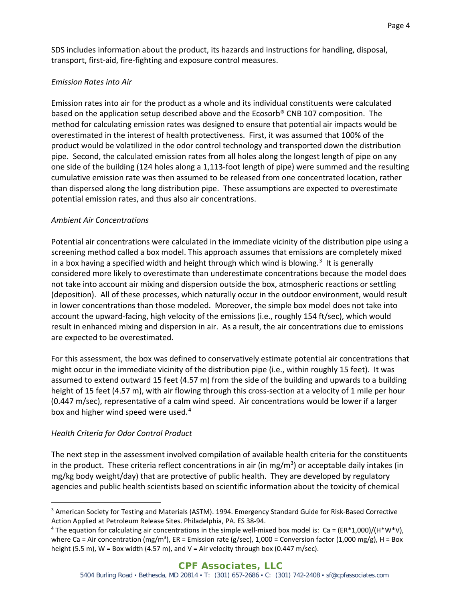SDS includes information about the product, its hazards and instructions for handling, disposal, transport, first-aid, fire-fighting and exposure control measures.

# *Emission Rates into Air*

Emission rates into air for the product as a whole and its individual constituents were calculated based on the application setup described above and the Ecosorb® CNB 107 composition. The method for calculating emission rates was designed to ensure that potential air impacts would be overestimated in the interest of health protectiveness. First, it was assumed that 100% of the product would be volatilized in the odor control technology and transported down the distribution pipe. Second, the calculated emission rates from all holes along the longest length of pipe on any one side of the building (124 holes along a 1,113-foot length of pipe) were summed and the resulting cumulative emission rate was then assumed to be released from one concentrated location, rather than dispersed along the long distribution pipe. These assumptions are expected to overestimate potential emission rates, and thus also air concentrations.

## *Ambient Air Concentrations*

Potential air concentrations were calculated in the immediate vicinity of the distribution pipe using a screening method called a box model. This approach assumes that emissions are completely mixed in a box having a specified width and height through which wind is blowing.<sup>[3](#page-3-0)</sup> It is generally considered more likely to overestimate than underestimate concentrations because the model does not take into account air mixing and dispersion outside the box, atmospheric reactions or settling (deposition). All of these processes, which naturally occur in the outdoor environment, would result in lower concentrations than those modeled. Moreover, the simple box model does not take into account the upward-facing, high velocity of the emissions (i.e., roughly 154 ft/sec), which would result in enhanced mixing and dispersion in air. As a result, the air concentrations due to emissions are expected to be overestimated.

For this assessment, the box was defined to conservatively estimate potential air concentrations that might occur in the immediate vicinity of the distribution pipe (i.e., within roughly 15 feet). It was assumed to extend outward 15 feet (4.57 m) from the side of the building and upwards to a building height of 15 feet (4.57 m), with air flowing through this cross-section at a velocity of 1 mile per hour (0.447 m/sec), representative of a calm wind speed. Air concentrations would be lower if a larger box and higher wind speed were used. $4$ 

# *Health Criteria for Odor Control Product*

The next step in the assessment involved compilation of available health criteria for the constituents in the product. These criteria reflect concentrations in air (in mg/m<sup>3</sup>) or acceptable daily intakes (in mg/kg body weight/day) that are protective of public health. They are developed by regulatory agencies and public health scientists based on scientific information about the toxicity of chemical

<span id="page-3-0"></span><sup>&</sup>lt;sup>3</sup> American Society for Testing and Materials (ASTM). 1994. Emergency Standard Guide for Risk-Based Corrective Action Applied at Petroleum Release Sites. Philadelphia, PA. ES 38-94.

<span id="page-3-1"></span><sup>&</sup>lt;sup>4</sup> The equation for calculating air concentrations in the simple well-mixed box model is: Ca = (ER\*1,000)/(H\*W\*V), where Ca = Air concentration (mg/m<sup>3</sup>), ER = Emission rate (g/sec), 1,000 = Conversion factor (1,000 mg/g), H = Box height (5.5 m),  $W = Box$  width (4.57 m), and  $V = Air$  velocity through box (0.447 m/sec).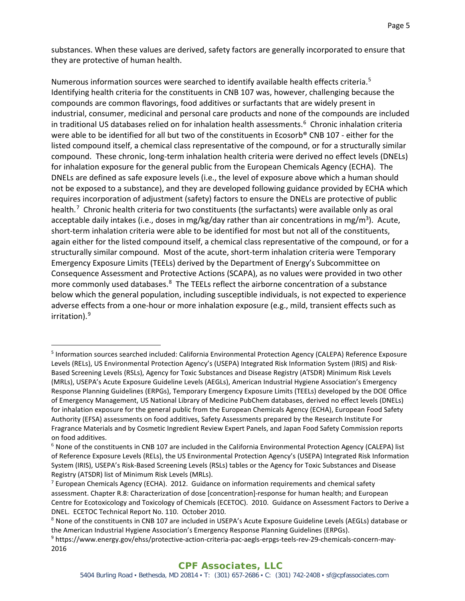substances. When these values are derived, safety factors are generally incorporated to ensure that they are protective of human health.

Numerous information sources were searched to identify available health effects criteria.<sup>[5](#page-4-0)</sup> Identifying health criteria for the constituents in CNB 107 was, however, challenging because the compounds are common flavorings, food additives or surfactants that are widely present in industrial, consumer, medicinal and personal care products and none of the compounds are included in traditional US databases relied on for inhalation health assessments.<sup>6</sup> Chronic inhalation criteria were able to be identified for all but two of the constituents in Ecosorb® CNB 107 - either for the listed compound itself, a chemical class representative of the compound, or for a structurally similar compound. These chronic, long-term inhalation health criteria were derived no effect levels (DNELs) for inhalation exposure for the general public from the European Chemicals Agency (ECHA). The DNELs are defined as safe exposure levels (i.e., the level of exposure above which a human should not be exposed to a substance), and they are developed following guidance provided by ECHA which requires incorporation of adjustment (safety) factors to ensure the DNELs are protective of public health.<sup>[7](#page-4-2)</sup> Chronic health criteria for two constituents (the surfactants) were available only as oral acceptable daily intakes (i.e., doses in mg/kg/day rather than air concentrations in mg/m<sup>3</sup>). Acute, short-term inhalation criteria were able to be identified for most but not all of the constituents, again either for the listed compound itself, a chemical class representative of the compound, or for a structurally similar compound. Most of the acute, short-term inhalation criteria were Temporary Emergency Exposure Limits (TEELs) derived by the Department of Energy's Subcommittee on Consequence Assessment and Protective Actions (SCAPA), as no values were provided in two other more commonly used databases.<sup>8</sup> The TEELs reflect the airborne concentration of a substance below which the general population, including susceptible individuals, is not expected to experience adverse effects from a one-hour or more inhalation exposure (e.g., mild, transient effects such as irritation).<sup>[9](#page-4-4)</sup>

<span id="page-4-0"></span><sup>5</sup> Information sources searched included: California Environmental Protection Agency (CALEPA) Reference Exposure Levels (RELs), US Environmental Protection Agency's (USEPA) Integrated Risk Information System (IRIS) and Risk-Based Screening Levels (RSLs), Agency for Toxic Substances and Disease Registry (ATSDR) Minimum Risk Levels (MRLs), USEPA's Acute Exposure Guideline Levels (AEGLs), American Industrial Hygiene Association's Emergency Response Planning Guidelines (ERPGs), Temporary Emergency Exposure Limits (TEELs) developed by the DOE Office of Emergency Management, US National Library of Medicine PubChem databases, derived no effect levels (DNELs) for inhalation exposure for the general public from the European Chemicals Agency (ECHA), European Food Safety Authority (EFSA) assessments on food additives, Safety Assessments prepared by the Research Institute For Fragrance Materials and by Cosmetic Ingredient Review Expert Panels, and Japan Food Safety Commission reports on food additives.

<span id="page-4-1"></span> $6$  None of the constituents in CNB 107 are included in the California Environmental Protection Agency (CALEPA) list of Reference Exposure Levels (RELs), the US Environmental Protection Agency's (USEPA) Integrated Risk Information System (IRIS), USEPA's Risk-Based Screening Levels (RSLs) tables or the Agency for Toxic Substances and Disease Registry (ATSDR) list of Minimum Risk Levels (MRLs).<br><sup>7</sup> European Chemicals Agency (ECHA). 2012. Guidance on information requirements and chemical safety

<span id="page-4-2"></span>assessment. Chapter R.8: Characterization of dose [concentration]-response for human health; and European Centre for Ecotoxicology and Toxicology of Chemicals (ECETOC). 2010. Guidance on Assessment Factors to Derive a DNEL. ECETOC Technical Report No. 110. October 2010.

<span id="page-4-3"></span><sup>8</sup> None of the constituents in CNB 107 are included in USEPA's Acute Exposure Guideline Levels (AEGLs) database or the American Industrial Hygiene Association's Emergency Response Planning Guidelines (ERPGs).

<span id="page-4-4"></span><sup>9</sup> https://www.energy.gov/ehss/protective-action-criteria-pac-aegls-erpgs-teels-rev-29-chemicals-concern-may-2016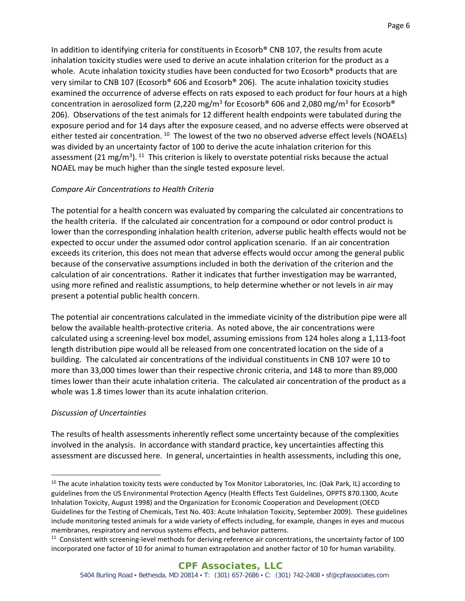In addition to identifying criteria for constituents in Ecosorb® CNB 107, the results from acute inhalation toxicity studies were used to derive an acute inhalation criterion for the product as a whole. Acute inhalation toxicity studies have been conducted for two Ecosorb® products that are very similar to CNB 107 (Ecosorb® 606 and Ecosorb® 206). The acute inhalation toxicity studies examined the occurrence of adverse effects on rats exposed to each product for four hours at a high concentration in aerosolized form (2,220 mg/m<sup>3</sup> for Ecosorb<sup>®</sup> 606 and 2,080 mg/m<sup>3</sup> for Ecosorb<sup>®</sup> 206). Observations of the test animals for 12 different health endpoints were tabulated during the exposure period and for 14 days after the exposure ceased, and no adverse effects were observed at either tested air concentration.  $10$  The lowest of the two no observed adverse effect levels (NOAELs) was divided by an uncertainty factor of 100 to derive the acute inhalation criterion for this assessment (21 mg/m<sup>3</sup>). <sup>[11](#page-5-1)</sup> This criterion is likely to overstate potential risks because the actual NOAEL may be much higher than the single tested exposure level.

# *Compare Air Concentrations to Health Criteria*

The potential for a health concern was evaluated by comparing the calculated air concentrations to the health criteria. If the calculated air concentration for a compound or odor control product is lower than the corresponding inhalation health criterion, adverse public health effects would not be expected to occur under the assumed odor control application scenario. If an air concentration exceeds its criterion, this does not mean that adverse effects would occur among the general public because of the conservative assumptions included in both the derivation of the criterion and the calculation of air concentrations. Rather it indicates that further investigation may be warranted, using more refined and realistic assumptions, to help determine whether or not levels in air may present a potential public health concern.

The potential air concentrations calculated in the immediate vicinity of the distribution pipe were all below the available health-protective criteria. As noted above, the air concentrations were calculated using a screening-level box model, assuming emissions from 124 holes along a 1,113-foot length distribution pipe would all be released from one concentrated location on the side of a building. The calculated air concentrations of the individual constituents in CNB 107 were 10 to more than 33,000 times lower than their respective chronic criteria, and 148 to more than 89,000 times lower than their acute inhalation criteria. The calculated air concentration of the product as a whole was 1.8 times lower than its acute inhalation criterion.

# *Discussion of Uncertainties*

The results of health assessments inherently reflect some uncertainty because of the complexities involved in the analysis. In accordance with standard practice, key uncertainties affecting this assessment are discussed here. In general, uncertainties in health assessments, including this one,

<span id="page-5-0"></span><sup>&</sup>lt;sup>10</sup> The acute inhalation toxicity tests were conducted by Tox Monitor Laboratories, Inc. (Oak Park, IL) according to guidelines from the US Environmental Protection Agency (Health Effects Test Guidelines, OPPTS 870.1300, Acute Inhalation Toxicity, August 1998) and the Organization for Economic Cooperation and Development (OECD Guidelines for the Testing of Chemicals, Test No. 403: Acute Inhalation Toxicity, September 2009). These guidelines include monitoring tested animals for a wide variety of effects including, for example, changes in eyes and mucous membranes, respiratory and nervous systems effects, and behavior patterns.

<span id="page-5-1"></span> $11$  Consistent with screening-level methods for deriving reference air concentrations, the uncertainty factor of 100 incorporated one factor of 10 for animal to human extrapolation and another factor of 10 for human variability.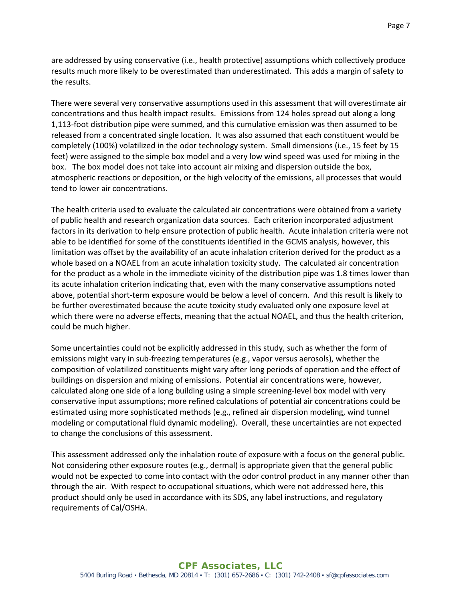are addressed by using conservative (i.e., health protective) assumptions which collectively produce results much more likely to be overestimated than underestimated. This adds a margin of safety to the results.

There were several very conservative assumptions used in this assessment that will overestimate air concentrations and thus health impact results. Emissions from 124 holes spread out along a long 1,113-foot distribution pipe were summed, and this cumulative emission was then assumed to be released from a concentrated single location. It was also assumed that each constituent would be completely (100%) volatilized in the odor technology system. Small dimensions (i.e., 15 feet by 15 feet) were assigned to the simple box model and a very low wind speed was used for mixing in the box. The box model does not take into account air mixing and dispersion outside the box, atmospheric reactions or deposition, or the high velocity of the emissions, all processes that would tend to lower air concentrations.

The health criteria used to evaluate the calculated air concentrations were obtained from a variety of public health and research organization data sources. Each criterion incorporated adjustment factors in its derivation to help ensure protection of public health. Acute inhalation criteria were not able to be identified for some of the constituents identified in the GCMS analysis, however, this limitation was offset by the availability of an acute inhalation criterion derived for the product as a whole based on a NOAEL from an acute inhalation toxicity study. The calculated air concentration for the product as a whole in the immediate vicinity of the distribution pipe was 1.8 times lower than its acute inhalation criterion indicating that, even with the many conservative assumptions noted above, potential short-term exposure would be below a level of concern. And this result is likely to be further overestimated because the acute toxicity study evaluated only one exposure level at which there were no adverse effects, meaning that the actual NOAEL, and thus the health criterion, could be much higher.

Some uncertainties could not be explicitly addressed in this study, such as whether the form of emissions might vary in sub-freezing temperatures (e.g., vapor versus aerosols), whether the composition of volatilized constituents might vary after long periods of operation and the effect of buildings on dispersion and mixing of emissions. Potential air concentrations were, however, calculated along one side of a long building using a simple screening-level box model with very conservative input assumptions; more refined calculations of potential air concentrations could be estimated using more sophisticated methods (e.g., refined air dispersion modeling, wind tunnel modeling or computational fluid dynamic modeling). Overall, these uncertainties are not expected to change the conclusions of this assessment.

This assessment addressed only the inhalation route of exposure with a focus on the general public. Not considering other exposure routes (e.g., dermal) is appropriate given that the general public would not be expected to come into contact with the odor control product in any manner other than through the air. With respect to occupational situations, which were not addressed here, this product should only be used in accordance with its SDS, any label instructions, and regulatory requirements of Cal/OSHA.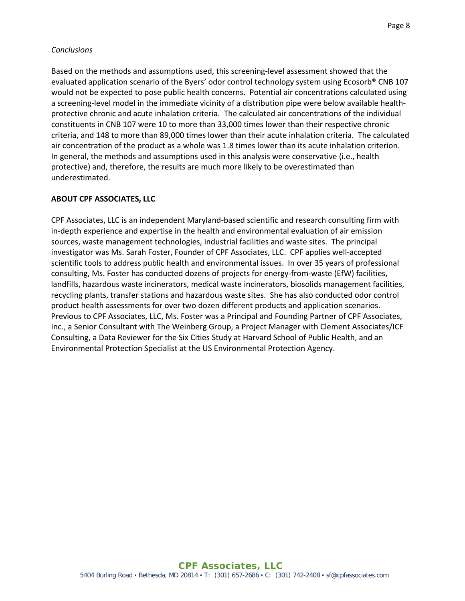# *Conclusions*

Based on the methods and assumptions used, this screening-level assessment showed that the evaluated application scenario of the Byers' odor control technology system using Ecosorb® CNB 107 would not be expected to pose public health concerns. Potential air concentrations calculated using a screening-level model in the immediate vicinity of a distribution pipe were below available healthprotective chronic and acute inhalation criteria. The calculated air concentrations of the individual constituents in CNB 107 were 10 to more than 33,000 times lower than their respective chronic criteria, and 148 to more than 89,000 times lower than their acute inhalation criteria. The calculated air concentration of the product as a whole was 1.8 times lower than its acute inhalation criterion. In general, the methods and assumptions used in this analysis were conservative (i.e., health protective) and, therefore, the results are much more likely to be overestimated than underestimated.

# **ABOUT CPF ASSOCIATES, LLC**

CPF Associates, LLC is an independent Maryland-based scientific and research consulting firm with in-depth experience and expertise in the health and environmental evaluation of air emission sources, waste management technologies, industrial facilities and waste sites. The principal investigator was Ms. Sarah Foster, Founder of CPF Associates, LLC. CPF applies well-accepted scientific tools to address public health and environmental issues. In over 35 years of professional consulting, Ms. Foster has conducted dozens of projects for energy-from-waste (EfW) facilities, landfills, hazardous waste incinerators, medical waste incinerators, biosolids management facilities, recycling plants, transfer stations and hazardous waste sites. She has also conducted odor control product health assessments for over two dozen different products and application scenarios. Previous to CPF Associates, LLC, Ms. Foster was a Principal and Founding Partner of CPF Associates, Inc., a Senior Consultant with The Weinberg Group, a Project Manager with Clement Associates/ICF Consulting, a Data Reviewer for the Six Cities Study at Harvard School of Public Health, and an Environmental Protection Specialist at the US Environmental Protection Agency.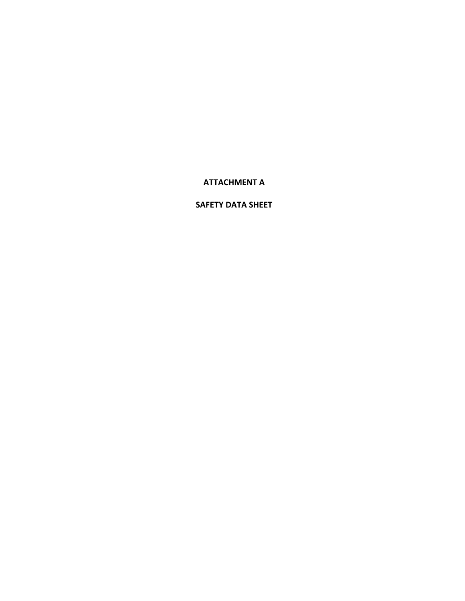## **ATTACHMENT A**

## **SAFETY DATA SHEET**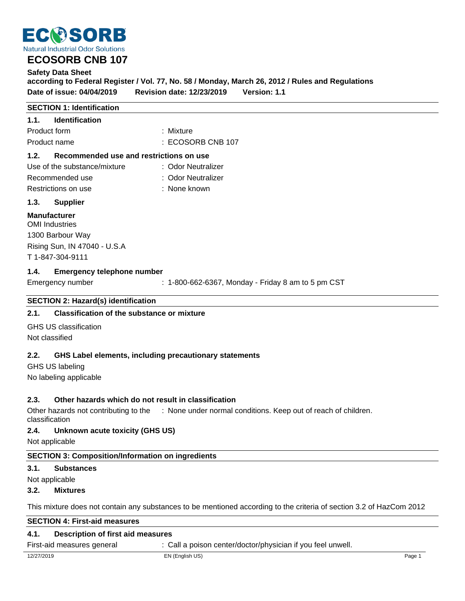

# **Safety Data Sheet**

**according to Federal Register / Vol. 77, No. 58 / Monday, March 26, 2012 / Rules and Regulations Date of issue: 04/04/2019 Revision date: 12/23/2019 Version: 1.1**

## **SECTION 1: Identification**

| 1.1.         | <b>Identification</b> |                       |
|--------------|-----------------------|-----------------------|
| Product form |                       | : Mixture             |
| Product name |                       | $\pm$ ECOSORB CNB 107 |

## **1.2. Recommended use and restrictions on use**

| Use of the substance/mixture | : Odor Neutralizer |
|------------------------------|--------------------|
| Recommended use              | : Odor Neutralizer |
| Restrictions on use          | : None known       |

## **1.3. Supplier**

**Manufacturer** OMI Industries 1300 Barbour Way Rising Sun, IN 47040 - U.S.A T 1-847-304-9111

## **1.4. Emergency telephone number**

Emergency number : 1-800-662-6367, Monday - Friday 8 am to 5 pm CST

## **SECTION 2: Hazard(s) identification**

## **2.1. Classification of the substance or mixture**

GHS US classification Not classified

## **2.2. GHS Label elements, including precautionary statements**

GHS US labeling No labeling applicable

## **2.3. Other hazards which do not result in classification**

Other hazards not contributing to the : None under normal conditions. Keep out of reach of children. classification

### **2.4. Unknown acute toxicity (GHS US)**

Not applicable

## **SECTION 3: Composition/Information on ingredients**

### **3.1. Substances**

Not applicable

### **3.2. Mixtures**

This mixture does not contain any substances to be mentioned according to the criteria of section 3.2 of HazCom 2012

# **SECTION 4: First-aid measures**

## **4.1. Description of first aid measures**

First-aid measures general : Call a poison center/doctor/physician if you feel unwell.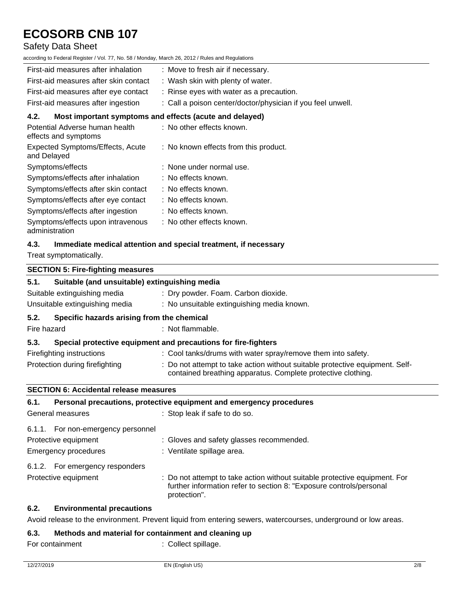# Safety Data Sheet

according to Federal Register / Vol. 77, No. 58 / Monday, March 26, 2012 / Rules and Regulations

| First-aid measures after inhalation                    | : Move to fresh air if necessary.                               |
|--------------------------------------------------------|-----------------------------------------------------------------|
| First-aid measures after skin contact                  | : Wash skin with plenty of water.                               |
| First-aid measures after eye contact                   | : Rinse eyes with water as a precaution.                        |
| First-aid measures after ingestion                     | : Call a poison center/doctor/physician if you feel unwell.     |
| 4.2.                                                   | Most important symptoms and effects (acute and delayed)         |
| Potential Adverse human health<br>effects and symptoms | : No other effects known.                                       |
| Expected Symptoms/Effects, Acute<br>and Delayed        | : No known effects from this product.                           |
| Symptoms/effects                                       | : None under normal use.                                        |
| Symptoms/effects after inhalation                      | :No effects known.                                              |
| Symptoms/effects after skin contact                    | : No effects known.                                             |
| Symptoms/effects after eye contact                     | : No effects known.                                             |
| Symptoms/effects after ingestion                       | : No effects known.                                             |
| Symptoms/effects upon intravenous<br>administration    | : No other effects known.                                       |
| 4.3.                                                   | Immediate medical attention and special treatment, if necessary |

Treat symptomatically.

| <b>SECTION 5: Fire-fighting measures</b>                                    |                                                                                                                                                                   |  |
|-----------------------------------------------------------------------------|-------------------------------------------------------------------------------------------------------------------------------------------------------------------|--|
| Suitable (and unsuitable) extinguishing media<br>5.1.                       |                                                                                                                                                                   |  |
| Suitable extinguishing media                                                | : Dry powder. Foam. Carbon dioxide.                                                                                                                               |  |
| Unsuitable extinguishing media                                              | : No unsuitable extinguishing media known.                                                                                                                        |  |
| Specific hazards arising from the chemical<br>5.2.                          |                                                                                                                                                                   |  |
| Fire hazard                                                                 | : Not flammable.                                                                                                                                                  |  |
| 5.3.                                                                        | Special protective equipment and precautions for fire-fighters                                                                                                    |  |
| Firefighting instructions                                                   | : Cool tanks/drums with water spray/remove them into safety.                                                                                                      |  |
| Protection during firefighting                                              | : Do not attempt to take action without suitable protective equipment. Self-<br>contained breathing apparatus. Complete protective clothing.                      |  |
| <b>SECTION 6: Accidental release measures</b>                               |                                                                                                                                                                   |  |
| Personal precautions, protective equipment and emergency procedures<br>6.1. |                                                                                                                                                                   |  |
| General measures                                                            | : Stop leak if safe to do so.                                                                                                                                     |  |
| 6.1.1. For non-emergency personnel                                          |                                                                                                                                                                   |  |
| Protective equipment                                                        | : Gloves and safety glasses recommended.                                                                                                                          |  |
| <b>Emergency procedures</b>                                                 | : Ventilate spillage area.                                                                                                                                        |  |
| 6.1.2. For emergency responders                                             |                                                                                                                                                                   |  |
| Protective equipment                                                        | : Do not attempt to take action without suitable protective equipment. For<br>further information refer to section 8: "Exposure controls/personal<br>protection". |  |

## **6.2. Environmental precautions**

Avoid release to the environment. Prevent liquid from entering sewers, watercourses, underground or low areas.

## **6.3. Methods and material for containment and cleaning up**

For containment : Collect spillage.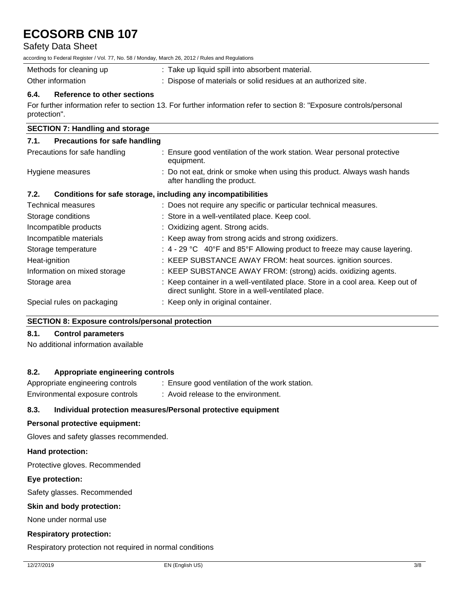Safety Data Sheet

| according to Federal Register / Vol. 77, No. 58 / Monday, March 26, 2012 / Rules and Regulations |                                                                                                                      |
|--------------------------------------------------------------------------------------------------|----------------------------------------------------------------------------------------------------------------------|
| Methods for cleaning up                                                                          | : Take up liquid spill into absorbent material.                                                                      |
| Other information                                                                                | : Dispose of materials or solid residues at an authorized site.                                                      |
| 6.4.<br>Reference to other sections                                                              |                                                                                                                      |
| protection".                                                                                     | For further information refer to section 13. For further information refer to section 8: "Exposure controls/personal |
| <b>SECTION 7: Handling and storage</b>                                                           |                                                                                                                      |
| 7.1.<br><b>Precautions for safe handling</b>                                                     |                                                                                                                      |
| Precautions for safe handling                                                                    | : Ensure good ventilation of the work station. Wear personal protective<br>equipment.                                |
| Hygiene measures                                                                                 | : Do not eat, drink or smoke when using this product. Always wash hands<br>after handling the product.               |
| 7.2.                                                                                             | Conditions for safe storage, including any incompatibilities                                                         |
| <b>Technical measures</b>                                                                        | : Does not require any specific or particular technical measures.                                                    |
| Storage conditions                                                                               | : Store in a well-ventilated place. Keep cool.                                                                       |
| Incompatible products                                                                            | : Oxidizing agent. Strong acids.                                                                                     |
| Incompatible materials                                                                           | : Keep away from strong acids and strong oxidizers.                                                                  |
| Storage temperature                                                                              | : $4 - 29$ °C $40$ °F and 85°F Allowing product to freeze may cause layering.                                        |
| Heat-ignition                                                                                    | : KEEP SUBSTANCE AWAY FROM: heat sources. ignition sources.                                                          |
| Information on mixed storage                                                                     | : KEEP SUBSTANCE AWAY FROM: (strong) acids. oxidizing agents.                                                        |
| Storage area                                                                                     | : Keep container in a well-ventilated place. Store in a cool area. Keep out of                                       |

direct sunlight. Store in a well-ventilated place.

Special rules on packaging : Keep only in original container.

## **SECTION 8: Exposure controls/personal protection**

## **8.1. Control parameters**

No additional information available

# **8.2. Appropriate engineering controls**

| Appropriate engineering controls | : Ensure good ventilation of the work station. |
|----------------------------------|------------------------------------------------|
| Environmental exposure controls  | : Avoid release to the environment.            |

## **8.3. Individual protection measures/Personal protective equipment**

## **Personal protective equipment:**

Gloves and safety glasses recommended.

## **Hand protection:**

Protective gloves. Recommended

#### **Eye protection:**

Safety glasses. Recommended

#### **Skin and body protection:**

None under normal use

## **Respiratory protection:**

Respiratory protection not required in normal conditions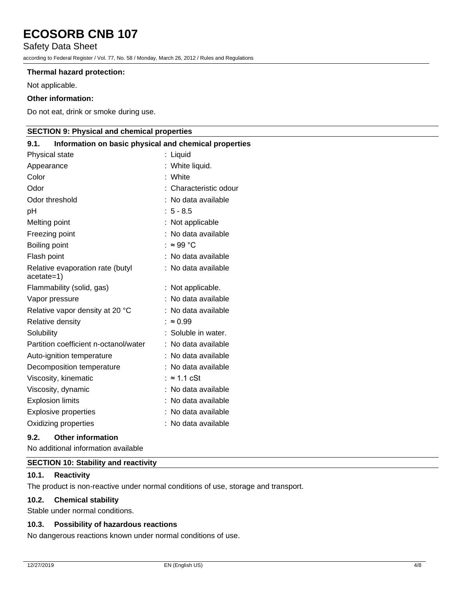## Safety Data Sheet

according to Federal Register / Vol. 77, No. 58 / Monday, March 26, 2012 / Rules and Regulations

#### **Thermal hazard protection:**

Not applicable.

#### **Other information:**

Do not eat, drink or smoke during use.

## **SECTION 9: Physical and chemical properties**

| Information on basic physical and chemical properties<br>9.1. |                      |
|---------------------------------------------------------------|----------------------|
| Physical state                                                | : Liquid             |
| Appearance                                                    | : White liquid.      |
| Color                                                         | White                |
| Odor                                                          | Characteristic odour |
| Odor threshold                                                | : No data available  |
| рH                                                            | $: 5 - 8.5$          |
| Melting point                                                 | : Not applicable     |
| Freezing point                                                | : No data available  |
| Boiling point                                                 | : ≈99 °C             |
| Flash point                                                   | : No data available  |
| Relative evaporation rate (butyl<br>acetate=1)                | : No data available  |
| Flammability (solid, gas)                                     | : Not applicable.    |
| Vapor pressure                                                | : No data available  |
| Relative vapor density at 20 °C                               | : No data available  |
| Relative density                                              | : $\approx 0.99$     |
| Solubility                                                    | Soluble in water.    |
| Partition coefficient n-octanol/water                         | : No data available  |
| Auto-ignition temperature                                     | No data available    |
| Decomposition temperature                                     | No data available    |
| Viscosity, kinematic                                          | : ≈ 1.1 cSt          |
| Viscosity, dynamic                                            | : No data available  |
| <b>Explosion limits</b>                                       | : No data available  |
| <b>Explosive properties</b><br>: No data available            |                      |
| Oxidizing properties<br>: No data available                   |                      |
| <b>Other information</b><br>9.2.                              |                      |

No additional information available

## **SECTION 10: Stability and reactivity**

# **10.1. Reactivity**

The product is non-reactive under normal conditions of use, storage and transport.

# **10.2. Chemical stability**

Stable under normal conditions.

## **10.3. Possibility of hazardous reactions**

No dangerous reactions known under normal conditions of use.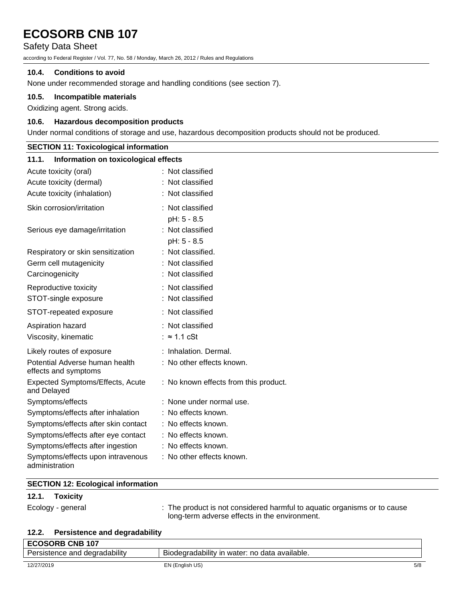Safety Data Sheet

according to Federal Register / Vol. 77, No. 58 / Monday, March 26, 2012 / Rules and Regulations

## **10.4. Conditions to avoid**

None under recommended storage and handling conditions (see section 7).

## **10.5. Incompatible materials**

Oxidizing agent. Strong acids.

## **10.6. Hazardous decomposition products**

Under normal conditions of storage and use, hazardous decomposition products should not be produced.

## **SECTION 11: Toxicological information**

| 11.1.<br>Information on toxicological effects          |                                       |
|--------------------------------------------------------|---------------------------------------|
| Acute toxicity (oral)                                  | : Not classified                      |
| Acute toxicity (dermal)                                | Not classified                        |
| Acute toxicity (inhalation)                            | : Not classified                      |
| Skin corrosion/irritation                              | : Not classified<br>pH: 5 - 8.5       |
| Serious eye damage/irritation                          | : Not classified<br>pH: 5 - 8.5       |
| Respiratory or skin sensitization                      | : Not classified.                     |
| Germ cell mutagenicity                                 | : Not classified                      |
| Carcinogenicity                                        | Not classified                        |
| Reproductive toxicity                                  | Not classified                        |
| STOT-single exposure                                   | : Not classified                      |
| STOT-repeated exposure                                 | : Not classified                      |
| Aspiration hazard                                      | : Not classified                      |
| Viscosity, kinematic                                   | : $\approx$ 1.1 cSt                   |
| Likely routes of exposure                              | : Inhalation. Dermal.                 |
| Potential Adverse human health<br>effects and symptoms | : No other effects known.             |
| Expected Symptoms/Effects, Acute<br>and Delayed        | : No known effects from this product. |
| Symptoms/effects                                       | : None under normal use.              |
| Symptoms/effects after inhalation                      | No effects known.                     |
| Symptoms/effects after skin contact                    | : No effects known.                   |
| Symptoms/effects after eye contact                     | : No effects known.                   |
| Symptoms/effects after ingestion                       | : No effects known.                   |
| Symptoms/effects upon intravenous<br>administration    | : No other effects known.             |

## **SECTION 12: Ecological information**

## **12.1. Toxicity**

Ecology - general : The product is not considered harmful to aquatic organisms or to cause long-term adverse effects in the environment.

## **12.2. Persistence and degradability**

| <b>ECOSORB CNB 107</b>        |                                               |     |
|-------------------------------|-----------------------------------------------|-----|
| Persistence and degradability | Biodegradability in water: no data available. |     |
|                               |                                               |     |
| 12/27/2019                    | EN (English US)                               | 5/8 |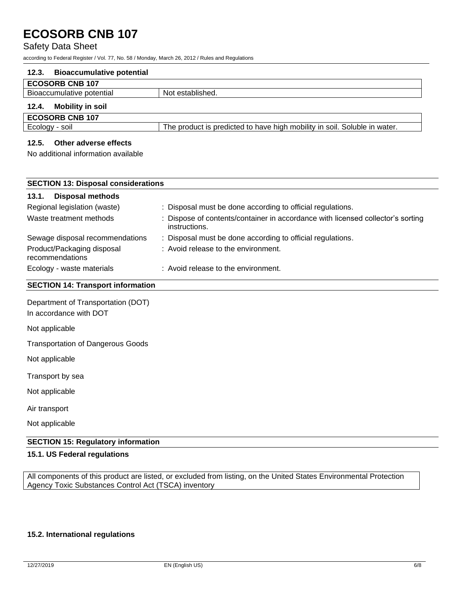## Safety Data Sheet

according to Federal Register / Vol. 77, No. 58 / Monday, March 26, 2012 / Rules and Regulations

| <b>Bioaccumulative potential</b><br>12.3. |                                                                           |
|-------------------------------------------|---------------------------------------------------------------------------|
| <b>ECOSORB CNB 107</b>                    |                                                                           |
| Bioaccumulative potential                 | Not established.                                                          |
| <b>Mobility in soil</b><br>12.4.          |                                                                           |
| <b>ECOSORB CNB 107</b>                    |                                                                           |
| Ecology - soil                            | The product is predicted to have high mobility in soil. Soluble in water. |
| Other adverse effects<br>12.5.            |                                                                           |

No additional information available

| <b>SECTION 13: Disposal considerations</b>    |                                                                                                  |  |
|-----------------------------------------------|--------------------------------------------------------------------------------------------------|--|
| <b>Disposal methods</b><br>13.1.              |                                                                                                  |  |
| Regional legislation (waste)                  | : Disposal must be done according to official regulations.                                       |  |
| Waste treatment methods                       | : Dispose of contents/container in accordance with licensed collector's sorting<br>instructions. |  |
| Sewage disposal recommendations               | : Disposal must be done according to official regulations.                                       |  |
| Product/Packaging disposal<br>recommendations | : Avoid release to the environment.                                                              |  |
| Ecology - waste materials                     | : Avoid release to the environment.                                                              |  |

## **SECTION 14: Transport information**

Department of Transportation (DOT) In accordance with DOT

Not applicable

Transportation of Dangerous Goods

Not applicable

- Transport by sea
- Not applicable

Air transport

Not applicable

## **SECTION 15: Regulatory information**

## **15.1. US Federal regulations**

All components of this product are listed, or excluded from listing, on the United States Environmental Protection Agency Toxic Substances Control Act (TSCA) inventory

## **15.2. International regulations**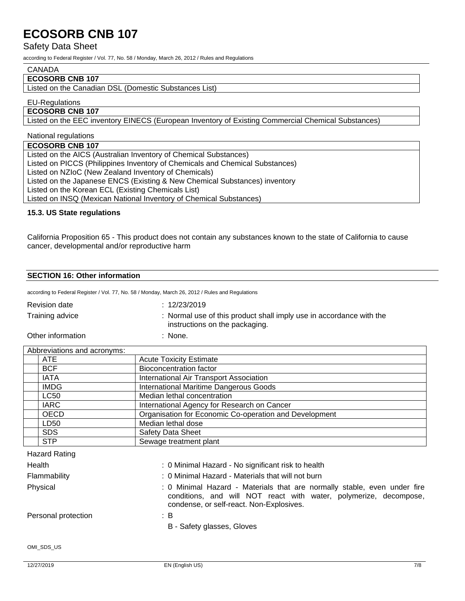## Safety Data Sheet

according to Federal Register / Vol. 77, No. 58 / Monday, March 26, 2012 / Rules and Regulations

#### CANADA

#### **ECOSORB CNB 107**

Listed on the Canadian DSL (Domestic Substances List)

#### EU-Regulations

## **ECOSORB CNB 107**

Listed on the EEC inventory EINECS (European Inventory of Existing Commercial Chemical Substances)

#### National regulations

## **ECOSORB CNB 107**

Listed on the AICS (Australian Inventory of Chemical Substances) Listed on PICCS (Philippines Inventory of Chemicals and Chemical Substances) Listed on NZIoC (New Zealand Inventory of Chemicals) Listed on the Japanese ENCS (Existing & New Chemical Substances) inventory Listed on the Korean ECL (Existing Chemicals List) Listed on INSQ (Mexican National Inventory of Chemical Substances)

#### **15.3. US State regulations**

California Proposition 65 - This product does not contain any substances known to the state of California to cause cancer, developmental and/or reproductive harm

#### **SECTION 16: Other information**

according to Federal Register / Vol. 77, No. 58 / Monday, March 26, 2012 / Rules and Regulations

| <b>Revision date</b> | : 12/23/2019                                                                                          |
|----------------------|-------------------------------------------------------------------------------------------------------|
| Training advice      | : Normal use of this product shall imply use in accordance with the<br>instructions on the packaging. |
| Other information    | : None.                                                                                               |

Abbreviations and acronyms: ATE Acute Toxicity Estimate<br>BCF Bioconcentration factor Bioconcentration factor IATA International Air Transport Association IMDG | International Maritime Dangerous Goods LC50 Median lethal concentration IARC **International Agency for Research on Cancer** OECD Organisation for Economic Co-operation and Development LD50 Median lethal dose SDS Safety Data Sheet STP Sewage treatment plant

| Hazard Rating       |                                                                                                                                                                                           |
|---------------------|-------------------------------------------------------------------------------------------------------------------------------------------------------------------------------------------|
| Health              | : 0 Minimal Hazard - No significant risk to health                                                                                                                                        |
| Flammability        | : 0 Minimal Hazard - Materials that will not burn                                                                                                                                         |
| Physical            | : 0 Minimal Hazard - Materials that are normally stable, even under fire<br>conditions, and will NOT react with water, polymerize, decompose,<br>condense, or self-react. Non-Explosives. |
| Personal protection | ÷В                                                                                                                                                                                        |
|                     | B - Safety glasses, Gloves                                                                                                                                                                |

OMI\_SDS\_US